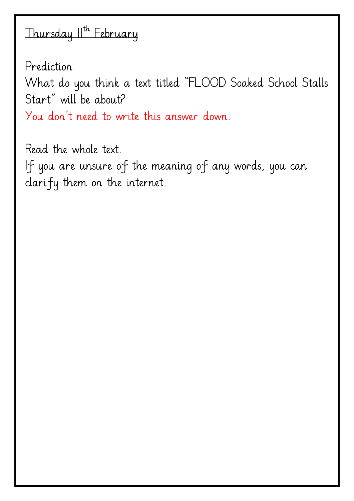# Thursday II<sup>th</sup> February

Prediction What do you think a text titled "FLOOD Soaked School Stalls Start" will be about? You don't need to write this answer down.

Read the whole text. If you are unsure of the meaning of any words, you can clarify them on the internet.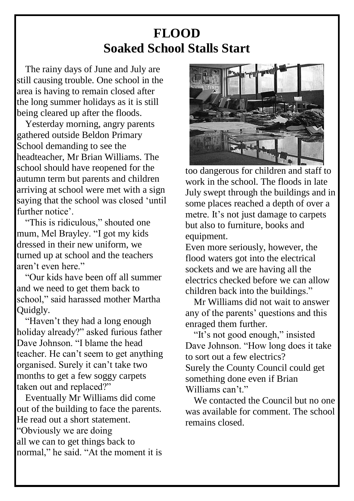## **FLOOD Soaked School Stalls Start**

The rainy days of June and July are still causing trouble. One school in the area is having to remain closed after the long summer holidays as it is still being cleared up after the floods.

Yesterday morning, angry parents gathered outside Beldon Primary School demanding to see the headteacher, Mr Brian Williams. The school should have reopened for the autumn term but parents and children arriving at school were met with a sign saying that the school was closed 'until further notice'.

"This is ridiculous," shouted one mum, Mel Brayley. "I got my kids dressed in their new uniform, we turned up at school and the teachers aren't even here."

"Our kids have been off all summer and we need to get them back to school," said harassed mother Martha Quidgly.

"Haven't they had a long enough holiday already?" asked furious father Dave Johnson. "I blame the head teacher. He can't seem to get anything organised. Surely it can't take two months to get a few soggy carpets taken out and replaced?"

Eventually Mr Williams did come out of the building to face the parents. He read out a short statement. "Obviously we are doing all we can to get things back to normal," he said. "At the moment it is



too dangerous for children and staff to work in the school. The floods in late July swept through the buildings and in some places reached a depth of over a metre. It's not just damage to carpets but also to furniture, books and equipment.

Even more seriously, however, the flood waters got into the electrical sockets and we are having all the electrics checked before we can allow children back into the buildings."

Mr Williams did not wait to answer any of the parents' questions and this enraged them further.

"It's not good enough," insisted Dave Johnson. "How long does it take to sort out a few electrics? Surely the County Council could get something done even if Brian Williams can't"

We contacted the Council but no one was available for comment. The school remains closed.